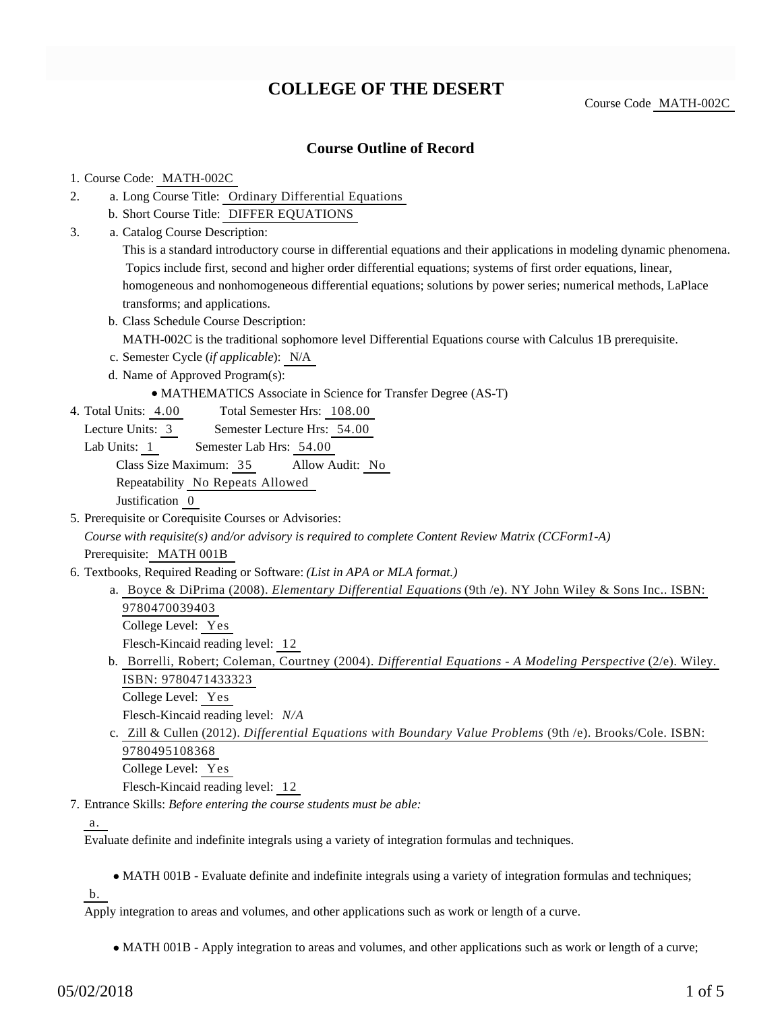# **COLLEGE OF THE DESERT**

Course Code MATH-002C

### **Course Outline of Record**

#### 1. Course Code: MATH-002C

- a. Long Course Title: Ordinary Differential Equations 2.
	- b. Short Course Title: DIFFER EQUATIONS
- Catalog Course Description: a. 3.

This is a standard introductory course in differential equations and their applications in modeling dynamic phenomena. Topics include first, second and higher order differential equations; systems of first order equations, linear, homogeneous and nonhomogeneous differential equations; solutions by power series; numerical methods, LaPlace transforms; and applications.

b. Class Schedule Course Description:

MATH-002C is the traditional sophomore level Differential Equations course with Calculus 1B prerequisite.

- c. Semester Cycle (*if applicable*): N/A
- d. Name of Approved Program(s):
	- MATHEMATICS Associate in Science for Transfer Degree (AS-T)
- Total Semester Hrs: 108.00 4. Total Units: 4.00
	- Lecture Units: 3 Semester Lecture Hrs: 54.00
	- Lab Units: 1 Semester Lab Hrs: 54.00

Class Size Maximum: 35 Allow Audit: No

Repeatability No Repeats Allowed

Justification 0

5. Prerequisite or Corequisite Courses or Advisories:

*Course with requisite(s) and/or advisory is required to complete Content Review Matrix (CCForm1-A)*

Prerequisite: MATH 001B

- 6. Textbooks, Required Reading or Software: (List in APA or MLA format.)
	- a. Boyce & DiPrima (2008). *Elementary Differential Equations* (9th /e). NY John Wiley & Sons Inc.. ISBN: 9780470039403 College Level: Yes Flesch-Kincaid reading level: 12
	- b. Borrelli, Robert; Coleman, Courtney (2004). *Differential Equations A Modeling Perspective* (2/e). Wiley.
		- ISBN: 9780471433323

College Level: Yes

- Flesch-Kincaid reading level: *N/A*
- c. Zill & Cullen (2012). *Differential Equations with Boundary Value Problems* (9th /e). Brooks/Cole. ISBN: 9780495108368 College Level: Yes

Flesch-Kincaid reading level: 12

Entrance Skills: *Before entering the course students must be able:* 7.

a.

Evaluate definite and indefinite integrals using a variety of integration formulas and techniques.

MATH 001B - Evaluate definite and indefinite integrals using a variety of integration formulas and techniques;

b.

Apply integration to areas and volumes, and other applications such as work or length of a curve.

MATH 001B - Apply integration to areas and volumes, and other applications such as work or length of a curve;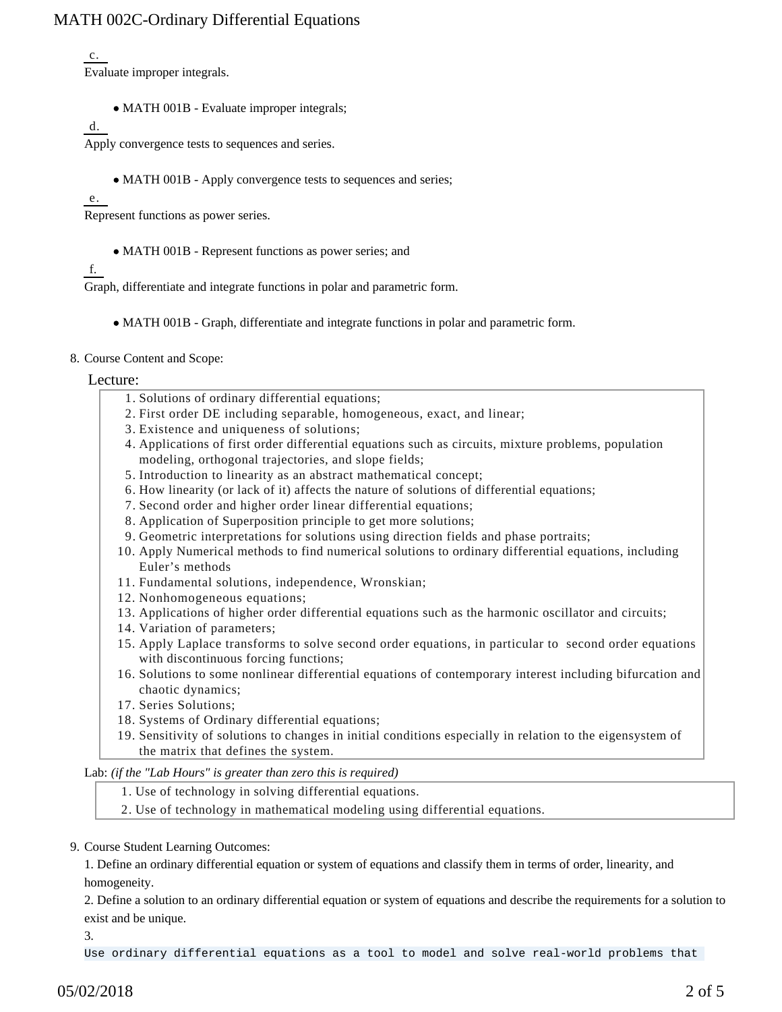c.

Evaluate improper integrals.

• MATH 001B - Evaluate improper integrals;

d.

Apply convergence tests to sequences and series.

• MATH 001B - Apply convergence tests to sequences and series;

e.

Represent functions as power series.

MATH 001B - Represent functions as power series; and

### f.

Graph, differentiate and integrate functions in polar and parametric form.

- MATH 001B Graph, differentiate and integrate functions in polar and parametric form.
- 8. Course Content and Scope:

#### Lecture:

- 1. Solutions of ordinary differential equations;
- 2. First order DE including separable, homogeneous, exact, and linear;
- 3. Existence and uniqueness of solutions;
- 4. Applications of first order differential equations such as circuits, mixture problems, population modeling, orthogonal trajectories, and slope fields;
- 5. Introduction to linearity as an abstract mathematical concept;
- 6. How linearity (or lack of it) affects the nature of solutions of differential equations;
- 7. Second order and higher order linear differential equations;
- 8. Application of Superposition principle to get more solutions;
- 9. Geometric interpretations for solutions using direction fields and phase portraits;
- 10. Apply Numerical methods to find numerical solutions to ordinary differential equations, including Euler's methods
- 11. Fundamental solutions, independence, Wronskian;
- 12. Nonhomogeneous equations;
- 13. Applications of higher order differential equations such as the harmonic oscillator and circuits;
- 14. Variation of parameters;
- 15. Apply Laplace transforms to solve second order equations, in particular to second order equations with discontinuous forcing functions;
- 16. Solutions to some nonlinear differential equations of contemporary interest including bifurcation and chaotic dynamics;
- 17. Series Solutions;
- 18. Systems of Ordinary differential equations;
- 19. Sensitivity of solutions to changes in initial conditions especially in relation to the eigensystem of the matrix that defines the system.

Lab: *(if the "Lab Hours" is greater than zero this is required)*

- 1. Use of technology in solving differential equations.
- 2. Use of technology in mathematical modeling using differential equations.
- 9. Course Student Learning Outcomes:

1. Define an ordinary differential equation or system of equations and classify them in terms of order, linearity, and homogeneity.

2. Define a solution to an ordinary differential equation or system of equations and describe the requirements for a solution to exist and be unique.

3.

Use ordinary differential equations as a tool to model and solve real-world problems that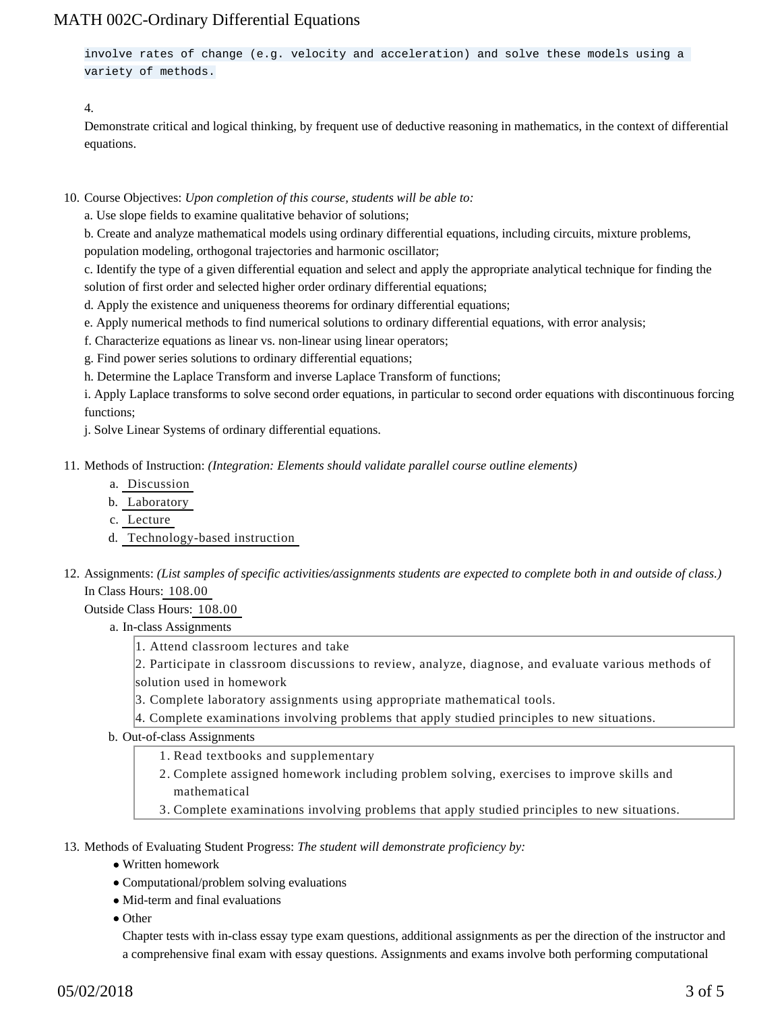involve rates of change (e.g. velocity and acceleration) and solve these models using a variety of methods.

4.

Demonstrate critical and logical thinking, by frequent use of deductive reasoning in mathematics, in the context of differential equations.

10. Course Objectives: Upon completion of this course, students will be able to:

a. Use slope fields to examine qualitative behavior of solutions;

b. Create and analyze mathematical models using ordinary differential equations, including circuits, mixture problems,

population modeling, orthogonal trajectories and harmonic oscillator;

c. Identify the type of a given differential equation and select and apply the appropriate analytical technique for finding the solution of first order and selected higher order ordinary differential equations;

d. Apply the existence and uniqueness theorems for ordinary differential equations;

e. Apply numerical methods to find numerical solutions to ordinary differential equations, with error analysis;

f. Characterize equations as linear vs. non-linear using linear operators;

g. Find power series solutions to ordinary differential equations;

h. Determine the Laplace Transform and inverse Laplace Transform of functions;

i. Apply Laplace transforms to solve second order equations, in particular to second order equations with discontinuous forcing functions;

j. Solve Linear Systems of ordinary differential equations.

11. Methods of Instruction: *(Integration: Elements should validate parallel course outline elements)* 

- a. Discussion
- b. Laboratory
- c. Lecture
- d. Technology-based instruction
- 12. Assignments: (List samples of specific activities/assignments students are expected to complete both in and outside of class.) In Class Hours: 108.00

Outside Class Hours: 108.00

#### a. In-class Assignments

1. Attend classroom lectures and take

2. Participate in classroom discussions to review, analyze, diagnose, and evaluate various methods of solution used in homework

3. Complete laboratory assignments using appropriate mathematical tools.

4. Complete examinations involving problems that apply studied principles to new situations.

b. Out-of-class Assignments

1. Read textbooks and supplementary

2. Complete assigned homework including problem solving, exercises to improve skills and mathematical

3. Complete examinations involving problems that apply studied principles to new situations.

13. Methods of Evaluating Student Progress: The student will demonstrate proficiency by:

- Written homework
- Computational/problem solving evaluations
- $\bullet$  Mid-term and final evaluations
- Other

Chapter tests with in-class essay type exam questions, additional assignments as per the direction of the instructor and a comprehensive final exam with essay questions. Assignments and exams involve both performing computational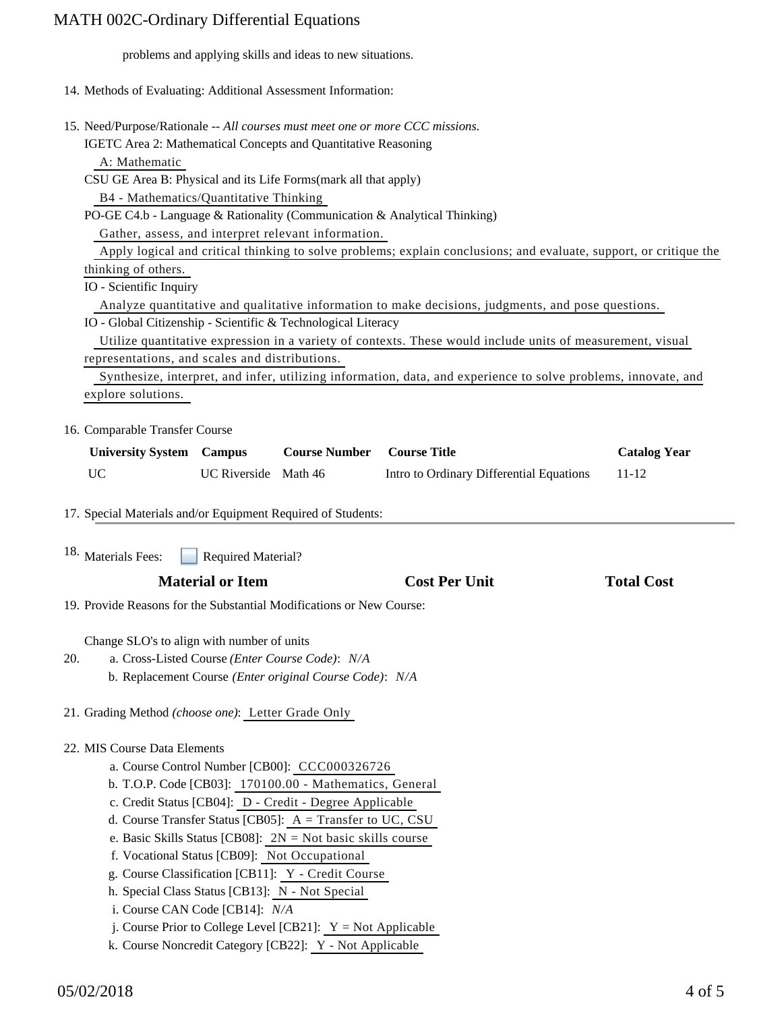problems and applying skills and ideas to new situations.

- 14. Methods of Evaluating: Additional Assessment Information:
- 15. Need/Purpose/Rationale -- All courses must meet one or more CCC missions.

IGETC Area 2: Mathematical Concepts and Quantitative Reasoning A: Mathematic

CSU GE Area B: Physical and its Life Forms(mark all that apply)

B4 - Mathematics/Quantitative Thinking

PO-GE C4.b - Language & Rationality (Communication & Analytical Thinking)

Gather, assess, and interpret relevant information.

 Apply logical and critical thinking to solve problems; explain conclusions; and evaluate, support, or critique the thinking of others.

IO - Scientific Inquiry

Analyze quantitative and qualitative information to make decisions, judgments, and pose questions.

IO - Global Citizenship - Scientific & Technological Literacy

 Utilize quantitative expression in a variety of contexts. These would include units of measurement, visual representations, and scales and distributions.

 Synthesize, interpret, and infer, utilizing information, data, and experience to solve problems, innovate, and explore solutions.

### 16. Comparable Transfer Course

| <b>University System Campus</b> |                      | <b>Course Number</b> | <b>Course Title</b>                      | <b>Catalog Year</b> |
|---------------------------------|----------------------|----------------------|------------------------------------------|---------------------|
| UC                              | UC Riverside Math 46 |                      | Intro to Ordinary Differential Equations | 11-12               |

17. Special Materials and/or Equipment Required of Students:

Required Material? 18. Materials Fees:

| <b>Material or Item</b> | <b>Cost Per Unit</b> | <b>Total Cost</b> |
|-------------------------|----------------------|-------------------|
|-------------------------|----------------------|-------------------|

19. Provide Reasons for the Substantial Modifications or New Course:

Change SLO's to align with number of units

- a. Cross-Listed Course *(Enter Course Code)*: *N/A* b. Replacement Course *(Enter original Course Code)*: *N/A* 20.
- 21. Grading Method *(choose one)*: Letter Grade Only

### 22. MIS Course Data Elements

- a. Course Control Number [CB00]: CCC000326726
- b. T.O.P. Code [CB03]: 170100.00 Mathematics, General
- c. Credit Status [CB04]: D Credit Degree Applicable
- d. Course Transfer Status [CB05]: A = Transfer to UC, CSU
- e. Basic Skills Status [CB08]: 2N = Not basic skills course
- f. Vocational Status [CB09]: Not Occupational
- g. Course Classification [CB11]: Y Credit Course
- h. Special Class Status [CB13]: N Not Special
- i. Course CAN Code [CB14]: *N/A*
- j. Course Prior to College Level [CB21]:  $Y = Not$  Applicable
- k. Course Noncredit Category [CB22]: Y Not Applicable